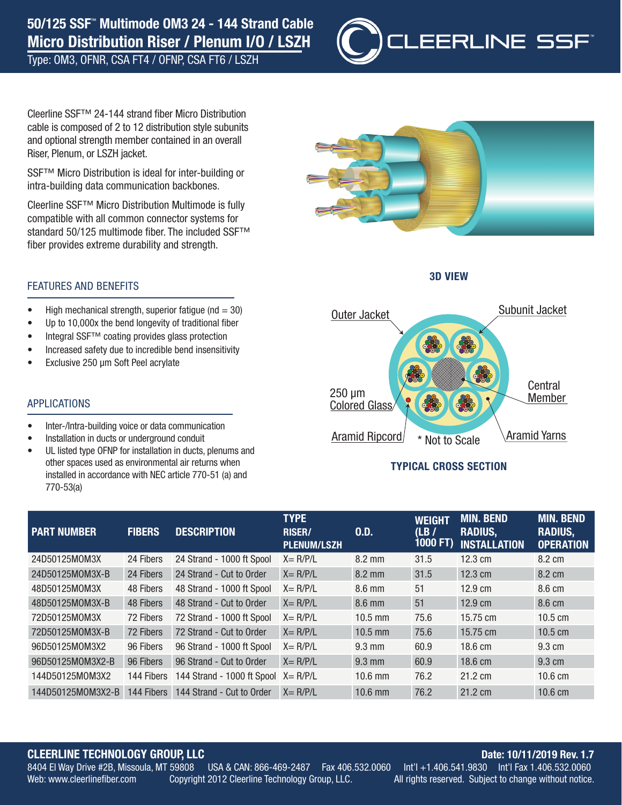# 50/125 SSF™ Multimode OM3 24 - 144 Strand Cable Micro Distribution Riser / Plenum I/O / LSZH

Type: OM3, OFNR, CSA FT4 / OFNP, CSA FT6 / LSZH



Cleerline SSF™ 24-144 strand fiber Micro Distribution cable is composed of 2 to 12 distribution style subunits and optional strength member contained in an overall Riser, Plenum, or LSZH jacket.

SSF™ Micro Distribution is ideal for inter-building or intra-building data communication backbones.

Cleerline SSF™ Micro Distribution Multimode is fully compatible with all common connector systems for standard 50/125 multimode fiber. The included SSF™ fiber provides extreme durability and strength.



3D VIEW



## TYPICAL CROSS SECTION

| <b>PART NUMBER</b> | <b>FIBERS</b> | <b>DESCRIPTION</b>                   | <b>TYPE</b><br><b>RISER/</b><br><b>PLENUM/LSZH</b> | 0.D.             | <b>WEIGHT</b><br>(LB)<br>1000 FT) | <b>MIN. BEND</b><br><b>RADIUS,</b><br><b>INSTALLATION</b> | <b>MIN. BEND</b><br><b>RADIUS,</b><br><b>OPERATION</b> |
|--------------------|---------------|--------------------------------------|----------------------------------------------------|------------------|-----------------------------------|-----------------------------------------------------------|--------------------------------------------------------|
| 24D50125M0M3X      | 24 Fibers     | 24 Strand - 1000 ft Spool            | $X = R/P/L$                                        | 8.2 mm           | 31.5                              | $12.3 \text{ cm}$                                         | 8.2 cm                                                 |
| 24D50125M0M3X-B    | 24 Fibers     | 24 Strand - Cut to Order             | $X = R/P/L$                                        | $8.2 \text{ mm}$ | 31.5                              | $12.3 \text{ cm}$                                         | 8.2 cm                                                 |
| 48D50125M0M3X      | 48 Fibers     | 48 Strand - 1000 ft Spool            | $X = R/P/L$                                        | $8.6 \text{ mm}$ | 51                                | $12.9 \text{ cm}$                                         | 8.6 cm                                                 |
| 48D50125M0M3X-B    | 48 Fibers     | 48 Strand - Cut to Order             | $X = R/P/L$                                        | $8.6$ mm         | 51                                | $12.9 \text{ cm}$                                         | 8.6 cm                                                 |
| 72D50125M0M3X      | 72 Fibers     | 72 Strand - 1000 ft Spool            | $X = R/P/L$                                        | $10.5$ mm        | 75.6                              | 15.75 cm                                                  | $10.5 \text{ cm}$                                      |
| 72D50125M0M3X-B    | 72 Fibers     | 72 Strand - Cut to Order             | $X = R/P/L$                                        | $10.5$ mm        | 75.6                              | 15.75 cm                                                  | $10.5 \text{ cm}$                                      |
| 96D50125M0M3X2     | 96 Fibers     | 96 Strand - 1000 ft Spool            | $X = R/P/L$                                        | $9.3 \text{ mm}$ | 60.9                              | $18.6 \text{ cm}$                                         | 9.3 cm                                                 |
| 96D50125M0M3X2-B   | 96 Fibers     | 96 Strand - Cut to Order             | $X = R/P/L$                                        | $9.3 \text{ mm}$ | 60.9                              | $18.6 \text{ cm}$                                         | 9.3 cm                                                 |
| 144D50125M0M3X2    | 144 Fibers    | 144 Strand - 1000 ft Spool X = R/P/L |                                                    | $10.6$ mm        | 76.2                              | 21.2 cm                                                   | $10.6 \text{ cm}$                                      |
| 144D50125M0M3X2-B  | 144 Fibers    | 144 Strand - Cut to Order            | $X = R/P/L$                                        | 10.6 mm          | 76.2                              | 21.2 cm                                                   | $10.6 \text{ cm}$                                      |

# **CLEERLINE TECHNOLOGY GROUP, LLC**<br>8404 El Way Drive #2B, Missoula, MT 59808 USA & CAN: 866-469-2487 Fax 406.532.0060 Int'l +1.406.541.9830 Int'l Fax 1.406.532.0060

USA & CAN: 866-469-2487

 $\frac{1}{2}$  Fax 406.532.0060 Int'l  $\frac{1}{2}$  +1.406.541.9830 Int'l Fax 1.406.532.0060 Web: www.cleerlinefiber.com Copyright 2012 Cleerline Technology Group, LLC. All rights reserved. Subject to change without notice.

# FEATURES AND BENEFITS

- High mechanical strength, superior fatigue ( $nd = 30$ )
- Up to 10,000x the bend longevity of traditional fiber
- Integral SSF™ coating provides glass protection
- Increased safety due to incredible bend insensitivity
- Exclusive 250 µm Soft Peel acrylate

#### APPLICATIONS

- Inter-/Intra-building voice or data communication
- Installation in ducts or underground conduit
- UL listed type OFNP for installation in ducts, plenums and other spaces used as environmental air returns when installed in accordance with NEC article 770-51 (a) and 770-53(a)